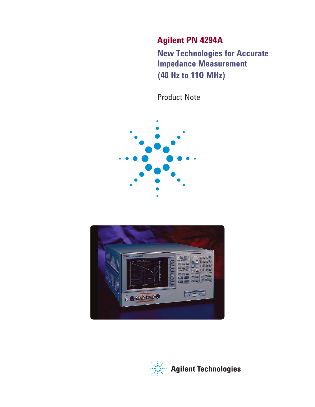**Agilent PN 4294A** 

**New Technologies for Accurate Impedance Measurement (40 Hz to 11O MHz)** 

Product Note





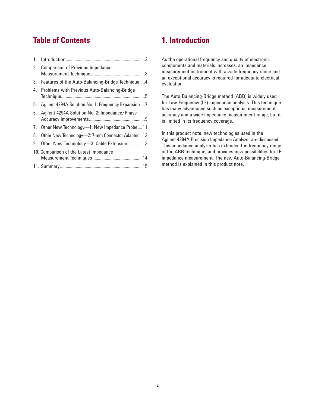## **Table of Contents**

|    | 2. Comparison of Previous Impedance                 |
|----|-----------------------------------------------------|
|    | 3. Features of the Auto-Balancing-Bridge Technique4 |
| 4. | Problems with Previous Auto-Balancing-Bridge        |
| 5. | Agilent 4294A Solution No. 1: Frequency Expansion7  |
| 6. | Agilent 4294A Solution No. 2: Impedance/Phase       |
|    | 7. Other New Technology-1: New Impedance Probe 11   |
| 8. | Other New Technology-2: 7-mm Connector Adapter12    |
| 9. | Other New Technology-3: Cable Extension 13          |
|    | 10. Comparison of the Latest Impedance              |
|    |                                                     |

### **1. Introduction**

As the operational frequency and quality of electronic components and materials increases, an impedance measurement instrument with a wide frequency range and an exceptional accuracy is required for adequate electrical evaluation.

The Auto-Balancing-Bridge method (ABB) is widely used for Low-Frequency (LF) impedance analysis. This technique has many advantages such as exceptional measurement accuracy and a wide impedance measurement range, but it is limited in its frequency coverage.

In this product note, new technologies used in the Agilent 4294A Precision Impedance Analyzer are discussed. This impedance analyzer has extended the frequency range of the ABB technique, and provides new possibilities for LF impedance measurement. The new Auto-Balancing-Bridge method is explained in this product note.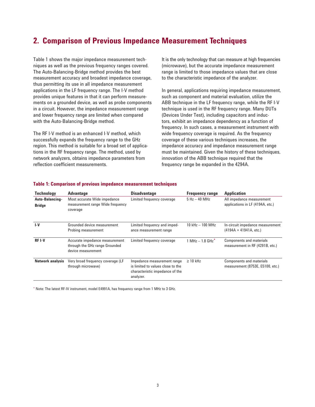## **2. Comparison of Previous Impedance Measurement Techniques**

Table 1 shows the major impedance measurement techniques as well as the previous frequency ranges covered. The Auto-Balancing-Bridge method provides the best measurement accuracy and broadest impedance coverage, thus permitting its use in all impedance measurement applications in the LF frequency range. The I-V method provides unique features in that it can perform measurements on a grounded device, as well as probe components in a circuit. However, the impedance measurement range and lower frequency range are limited when compared with the Auto-Balancing-Bridge method.

The RF I-V method is an enhanced I-V method, which successfully expands the frequency range to the GHz region. This method is suitable for a broad set of applications in the RF frequency range. The method, used by network analyzers, obtains impedance parameters from reflection coefficient measurements.

It is the only technology that can measure at high frequencies (microwave), but the accurate impedance measurement range is limited to those impedance values that are close to the characteristic impedance of the analyzer.

In general, applications requiring impedance measurement, such as component and material evaluation, utilize the ABB technique in the LF frequency range, while the RF I-V technique is used in the RF frequency range. Many DUTs (Devices Under Test), including capacitors and inductors, exhibit an impedance dependency as a function of frequency. In such cases, a measurement instrument with wide frequency coverage is required. As the frequency coverage of these various techniques increases, the impedance accuracy and impedance measurement range must be maintained. Given the history of these techniques, innovation of the ABB technique required that the frequency range be expanded in the 4294A.

| <b>Technology</b>                | <b>Advantage</b>                                                                       | <b>Disadvantage</b>                                                                                              | <b>Frequency range</b>              | <b>Application</b>                                                  |
|----------------------------------|----------------------------------------------------------------------------------------|------------------------------------------------------------------------------------------------------------------|-------------------------------------|---------------------------------------------------------------------|
| Auto-Balancing-<br><b>Bridge</b> | Most accurate Wide impedance<br>measurement range Wide frequency<br>coverage           | Limited frequency coverage                                                                                       | $5 Hz - 40 MHz$                     | All impedance measurement<br>applications in LF (4194A, etc.)       |
| $I-V$                            | Grounded device measurement<br>Probing measurement                                     | Limited frequency and imped-<br>ance measurement range                                                           | $10$ kHz $-$ 100 MHz                | In-circuit impedance measurement<br>$(4194A + 41941A, etc.)$        |
| <b>RFI-V</b>                     | Accurate impedance measurement<br>through the GHz range Grounded<br>device measurement | Limited frequency coverage                                                                                       | $1 \text{ MHz} - 1.8 \text{ GHz}^*$ | Components and materials<br>measurement in RF (4291B, etc.)         |
| <b>Network analysis</b>          | Very broad frequency coverage (LF<br>through microwave)                                | Impedance measurement range<br>is limited to values close to the<br>characteristic impedance of the<br>analyzer. | $\geq$ 10 kHz                       | <b>Components and materials</b><br>measurement (8753E, E5100, etc.) |

#### **Table 1: Comparison of previous impedance measurement techniques**

\* Note: The latest RF-IV instrument, model E4991A, has frequency range from 1 MHz to 3 GHz.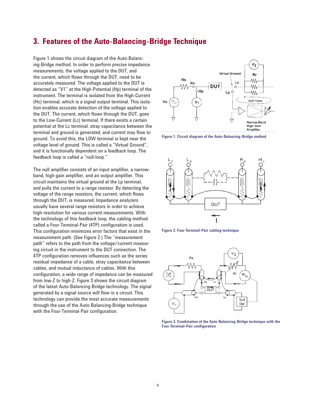### **3. Features of the Auto-Balancing-Bridge Technique**

Figure 1 shows the circuit diagram of the Auto-Balancing-Bridge method. In order to perform precise impedance measurements, the voltage applied to the DUT, and the current, which flows through the DUT, need to be accurately measured. The voltage applied to the DUT is detected as "V1" at the High-Potential (Hp) terminal of the instrument. The terminal is isolated from the High-Current (Hc) terminal, which is a signal output terminal. This isolation enables accurate detection of the voltage applied to the DUT. The current, which flows through the DUT, goes to the Low-Current (Lc) terminal. If there exists a certain potential at the Lc terminal, stray capacitance between the terminal and ground is generated, and current may flow to ground. To avoid this, the LOW terminal is kept near the voltage level of ground. This is called a "Virtual Ground", and it is functionally dependent on a feedback loop. The feedback loop is called a "null-loop."

The null amplifier consists of an input amplifier, a narrowband, high-gain amplifier, and an output amplifier. This circuit maintains the virtual ground at the Lp terminal, and pulls the current to a range resistor. By detecting the voltage of the range resistors, the current, which flows through the DUT, is measured. Impedance analyzers usually have several range resistors in order to achieve high-resolution for various current measurements. With the technology of this feedback loop, the cabling method called a Four-Terminal-Pair (4TP) configuration is used. This configuration minimizes error factors that exist in the measurement path. (See Figure 2.) The "measurement path" refers to the path from the voltage/current measuring circuit in the instrument to the DUT connection. The 4TP configuration removes influences such as the series residual impedance of a cable, stray capacitance between cables, and mutual inductance of cables. With this configuration, a wide range of impedance can be measured from low-Z to high-Z. Figure 3 shows the circuit diagram of the latest Auto-Balancing-Bridge technology. The signal generated by a signal source will flow in a circuit. This technology can provide the most accurate measurements through the use of the Auto-Balancing-Bridge technique with the Four-Terminal-Pair configuration.



**Figure 1. Circuit diagram of the Auto-Balancing-Bridge method**







**Figure 3. Combination of the Auto-Balancing-Bridge technique with the Four-Terminal-Pair configuration**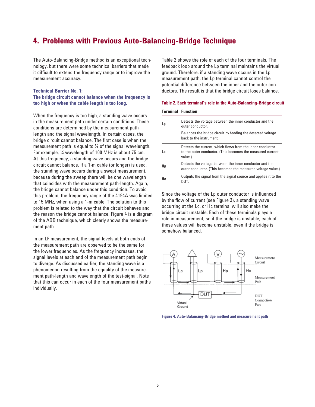### **4. Problems with Previous Auto-Balancing-Bridge Technique**

The Auto-Balancing-Bridge method is an exceptional technology, but there were some technical barriers that made it difficult to extend the frequency range or to improve the measurement accuracy.

#### **Technical Barrier No. 1:**

### **The bridge circuit cannot balance when the frequency is too high or when the cable length is too long.**

When the frequency is too high, a standing wave occurs in the measurement path under certain conditions. These conditions are determined by the measurement pathlength and the signal wavelength. In certain cases, the bridge circuit cannot balance. The first case is when the measurement path is equal to ¼ of the signal wavelength. For example, ¼ wavelength of 100 MHz is about 75 cm. At this frequency, a standing wave occurs and the bridge circuit cannot balance. If a 1-m cable (or longer) is used, the standing wave occurs during a swept measurement, because during the sweep there will be one wavelength that coincides with the measurement path-length. Again, the bridge cannot balance under this condition. To avoid this problem, the frequency range of the 4194A was limited to 15 MHz, when using a 1-m cable. The solution to this problem is related to the way that the circuit behaves and the reason the bridge cannot balance. Figure 4 is a diagram of the ABB technique, which clearly shows the measurement path.

In an LF measurement, the signal-levels at both ends of the measurement path are observed to be the same for the lower frequencies. As the frequency increases, the signal levels at each end of the measurement path begin to diverge. As discussed earlier, the standing wave is a phenomenon resulting from the equality of the measurement path-length and wavelength of the test-signal. Note that this can occur in each of the four measurement paths individually.

Table 2 shows the role of each of the four terminals. The feedback loop around the Lp terminal maintains the virtual ground. Therefore, if a standing wave occurs in the Lp measurement path, the Lp terminal cannot control the potential difference between the inner and the outer conductors. The result is that the bridge circuit loses balance.

#### **Table 2. Each terminal's role in the Auto-Balancing-Bridge circuit**

#### **Terminal Function**

| Lp  | Detects the voltage between the inner conductor and the<br>outer conductor.                                                        |
|-----|------------------------------------------------------------------------------------------------------------------------------------|
|     | Balances the bridge circuit by feeding the detected voltage<br>hack to the instrument.                                             |
| Lc: | Detects the current, which flows from the inner conductor<br>to the outer conductor. (This becomes the measured current<br>value.) |
| Hp  | Detects the voltage between the inner conductor and the<br>outer conductor. (This becomes the measured voltage value.)             |
| Hc. | Outputs the signal from the signal source and applies it to the<br>DUT.                                                            |

Since the voltage of the Lp outer conductor is influenced by the flow of current (see Figure 3), a standing wave occurring at the Lc, or Hc terminal will also make the bridge circuit unstable. Each of these terminals plays a role in measurement, so if the bridge is unstable, each of these values will become unstable, even if the bridge is somehow balanced.



**Figure 4. Auto-Balancing-Bridge method and measurement path**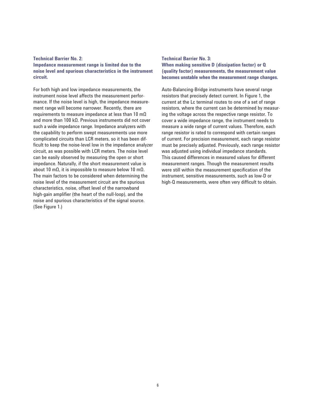### **Technical Barrier No. 2: Impedance measurement range is limited due to the noise level and spurious characteristics in the instrument circuit.**

For both high and low impedance measurements, the instrument noise level affects the measurement performance. If the noise level is high, the impedance measurement range will become narrower. Recently, there are requirements to measure impedance at less than 10 mΩ and more than 100 kΩ. Previous instruments did not cover such a wide impedance range. Impedance analyzers with the capability to perform swept measurements use more complicated circuits than LCR meters, so it has been difficult to keep the noise-level low in the impedance analyzer circuit, as was possible with LCR meters. The noise level can be easily observed by measuring the open or short impedance. Naturally, if the short measurement value is about 10 mΩ, it is impossible to measure below 10 mΩ. The main factors to be considered when determining the noise level of the measurement circuit are the spurious characteristics, noise, offset level of the narrowband high-gain amplifier (the heart of the null-loop), and the noise and spurious characteristics of the signal source. (See Figure 1.)

### **Technical Barrier No. 3: When making sensitive D (dissipation factor) or Q (quality factor) measurements, the measurement value becomes unstable when the measurement range changes.**

Auto-Balancing-Bridge instruments have several range resistors that precisely detect current. In Figure 1, the current at the Lc terminal routes to one of a set of range resistors, where the current can be determined by measuring the voltage across the respective range resistor. To cover a wide impedance range, the instrument needs to measure a wide range of current values. Therefore, each range resistor is rated to correspond with certain ranges of current. For precision measurement, each range resistor must be precisely adjusted. Previously, each range resistor was adjusted using individual impedance standards. This caused differences in measured values for different measurement ranges. Though the measurement results were still within the measurement specification of the instrument, sensitive measurements, such as low-D or high-Q measurements, were often very difficult to obtain.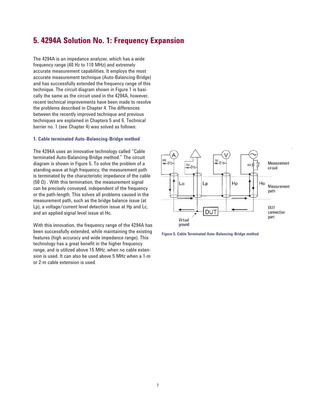## **5. 4294A Solution No. 1: Frequency Expansion**

The 4294A is an impedance analyzer, which has a wide frequency range (40 Hz to 110 MHz) and extremely accurate measurement capabilities. It employs the most accurate measurement technique (Auto-Balancing-Bridge) and has successfully extended the frequency range of this technique. The circuit diagram shown in Figure 1 is basically the same as the circuit used in the 4294A, however, recent technical improvements have been made to resolve the problems described in Chapter 4. The differences between the recently improved technique and previous techniques are explained in Chapters 5 and 6. Technical barrier no. 1 (see Chapter 4) was solved as follows:

#### **1. Cable terminated Auto-Balancing-Bridge method**

The 4294A uses an innovative technology called "Cable terminated Auto-Balancing-Bridge method." The circuit diagram is shown in Figure 5. To solve the problem of a standing-wave at high frequency, the measurement path is terminated by the characteristic impedance of the cable (50  $Ω$ ). With this termination, the measurement signal can be precisely conveyed, independent of the frequency or the path-length. This solves all problems caused in the measurement path, such as the bridge balance issue (at Lp), a voltage/current level detection issue at Hp and Lc, and an applied signal level issue at Hc.

With this innovation, the frequency range of the 4294A has been successfully extended, while maintaining the existing features (high accuracy and wide impedance range). This technology has a great benefit in the higher frequency range, and is utilized above 15 MHz, when no cable extension is used. It can also be used above 5 MHz when a 1-m or 2-m cable extension is used.



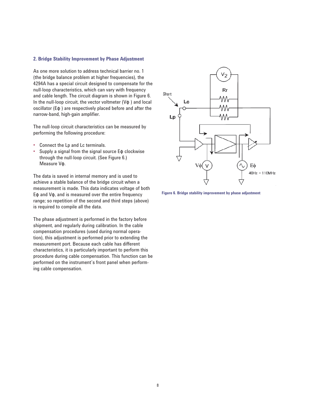#### **2. Bridge Stability Improvement by Phase Adjustment**

As one more solution to address technical barrier no. 1 (the bridge balance problem at higher frequencies), the 4294A has a special circuit designed to compensate for the null-loop characteristics, which can vary with frequency and cable length. The circuit diagram is shown in Figure 6. In the null-loop circuit, the vector voltmeter  $(V\phi)$  and local oscillator (Eφ ) are respectively placed before and after the narrow-band, high-gain amplifier.

The null-loop circuit characteristics can be measured by performing the following procedure:

- Connect the Lp and Lc terminals.
- Supply a signal from the signal source Eφ clockwise through the null-loop circuit. (See Figure 6.) Measure Vφ.

The data is saved in internal memory and is used to achieve a stable balance of the bridge circuit when a measurement is made. This data indicates voltage of both Eφ and Vφ, and is measured over the entire frequency range; so repetition of the second and third steps (above) is required to compile all the data.

The phase adjustment is performed in the factory before shipment, and regularly during calibration. In the cable compensation procedures (used during normal operation), this adjustment is performed prior to extending the measurement port. Because each cable has different characteristics, it is particularly important to perform this procedure during cable compensation. This function can be performed on the instrument's front panel when performing cable compensation.



**Figure 6. Bridge stability improvement by phase adjustment**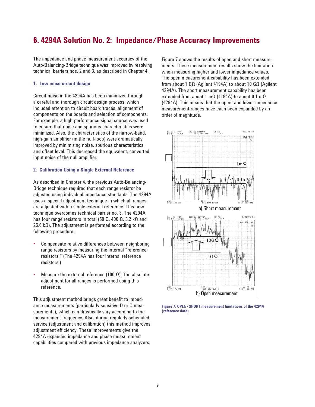### **6. 4294A Solution No. 2: Impedance/Phase Accuracy Improvements**

The impedance and phase measurement accuracy of the Auto-Balancing-Bridge technique was improved by resolving technical barriers nos. 2 and 3, as described in Chapter 4.

#### **1. Low noise circuit design**

Circuit noise in the 4294A has been minimized through a careful and thorough circuit design process, which included attention to circuit board traces, alignment of components on the boards and selection of components. For example, a high-performance signal source was used to ensure that noise and spurious characteristics were minimized. Also, the characteristics of the narrow-band, high-gain amplifier (in the null-loop) were dramatically improved by minimizing noise, spurious characteristics, and offset level. This decreased the equivalent, converted input noise of the null amplifier.

### **2. Calibration Using a Single External Reference**

As described in Chapter 4, the previous Auto-Balancing-Bridge technique required that each range resistor be adjusted using individual impedance standards. The 4294A uses a special adjustment technique in which all ranges are adjusted with a single external reference. This new technique overcomes technical barrier no. 3. The 4294A has four range resistors in total (50 Ω, 400 Ω, 3.2 kΩ and 25.6 kΩ). The adjustment is performed according to the following procedure:

- Compensate relative differences between neighboring range resistors by measuring the internal "reference resistors." (The 4294A has four internal reference resistors.)
- Measure the external reference (100 Ω). The absolute adjustment for all ranges is performed using this reference.

This adjustment method brings great benefit to impedance measurements (particularly sensitive D or Q measurements), which can drastically vary according to the measurement frequency. Also, during regularly scheduled service (adjustment and calibration) this method improves adjustment efficiency. These improvements give the 4294A expanded impedance and phase measurement capabilities compared with previous impedance analyzers.

Figure 7 shows the results of open and short measurements. These measurement results show the limitation when measuring higher and lower impedance values. The open measurement capability has been extended from about 1 GΩ (Agilent 4194A) to about 10 GΩ (Agilent 4294A). The short measurement capability has been extended from about 1 mΩ (4194A) to about 0.1 mΩ (4294A). This means that the upper and lower impedance measurement ranges have each been expanded by an order of magnitude.



**Figure 7. OPEN/SHORT measurement limitations of the 4294A (reference data)**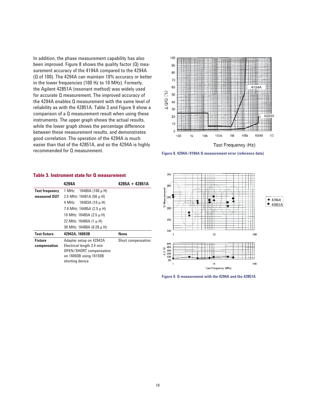In addition, the phase measurement capability has also been improved. Figure 8 shows the quality factor (Q) measurement accuracy of the 4194A compared to the 4294A (Q of 100). The 4294A can maintain 10% accuracy or better in the lower frequencies (100 Hz to 10 MHz). Formerly, the Agilent 42851A (resonant method) was widely used for accurate Q measurement. The improved accuracy of the 4294A enables Q measurement with the same level of reliability as with the 42851A. Table 3 and Figure 9 show a comparison of a Q measurement result when using these instruments. The upper graph shows the actual results, while the lower graph shows the percentage difference between these measurement results, and demonstrates good correlation. The operation of the 4294A is much easier than that of the 42851A, and so the 4294A is highly recommended for Q measurement.





|                       | 4294A                          | $4285A + 42851A$   |
|-----------------------|--------------------------------|--------------------|
| <b>Test frequency</b> | 16480A (100 μH)<br>1 MHz:      |                    |
| measured DUT          | 2.5 MHz: 16481A (56 $\mu$ H)   |                    |
|                       | 16483A (10 μH)<br>4 MHz:       |                    |
|                       | 7.9 MHz: 16485A (2.5 $\mu$ H)  |                    |
|                       | 10 MHz: 16485A (2.5 μH)        |                    |
|                       | 22 MHz: 16486A (1 µ H)         |                    |
|                       | 30 MHz: 16488A (0.28 µ H)      |                    |
| <b>Test fixture</b>   | 42942A, 16093B                 | <b>None</b>        |
| <b>Fixture</b>        | Adapter setup on 42942A        | Short compensation |
| compensation          | Electrical length 3.4 mm       |                    |
|                       | <b>OPEN/SHORT</b> compensation |                    |
|                       | on 16093B using 16193B         |                    |
|                       | shorting device                |                    |

### **Table 3. Instrument state for Q measurement**



**Figure 9. Q measurement with the 4294A and the 42851A**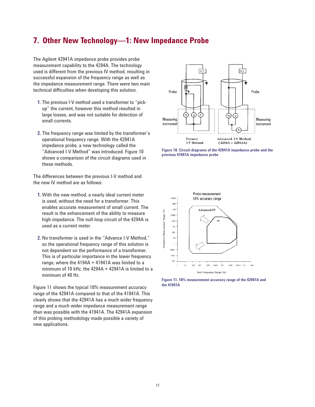### **7. Other New Technology—1: New Impedance Probe**

The Agilent 42941A impedance probe provides probe measurement capability to the 4294A. The technology used is different from the previous IV method, resulting in successful expansion of the frequency range as well as the impedance measurement range. There were two main technical difficulties when developing this solution.

- **1.** The previous I-V method used a transformer to "pick up" the current, however this method resulted in large losses, and was not suitable for detection of small currents.
- **2.** The frequency range was limited by the transformer's operational frequency range. With the 42941A impedance probe, a new technology called the "Advanced I-V Method" was introduced. Figure 10 shows a comparison of the circuit diagrams used in these methods.

The differences between the previous I-V method and the new IV method are as follows:

- **1.** With the new method, a nearly ideal current meter is used, without the need for a transformer. This enables accurate measurement of small current. The result is the enhancement of the ability to measure high-impedance. The null-loop circuit of the 4294A is used as a current meter.
- **2.** No transformer is used in the "Advance I-V Method," so the operational frequency range of this solution is not dependent on the performance of a transformer. This is of particular importance in the lower frequency range, where the 4194A + 41941A was limited to a minimum of 10 kHz, the 4294A + 42941A is limited to a minimum of 40 Hz.

Figure 11 shows the typical 10% measurement accuracy range of the 42941A compared to that of the 41941A. This clearly shows that the 42941A has a much wider frequency range and a much wider impedance measurement range than was possible with the 41941A. The 42941A expansion of this probing methodology made possible a variety of new applications.



**Figure 10. Circuit diagrams of the 42941A impedance probe and the previous 41941A impedance probe**



**Figure 11. 10% measurement accuracy range of the 42941A and the 41941A**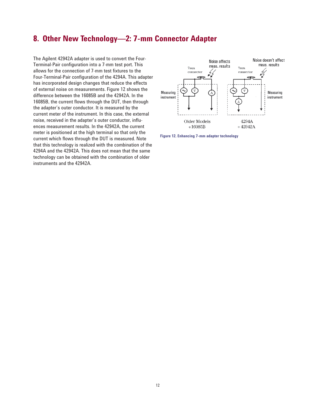# **8. Other New Technology—2: 7-mm Connector Adapter**

The Agilent 42942A adapter is used to convert the Four-Terminal-Pair configuration into a 7-mm test port. This allows for the connection of 7-mm test fixtures to the Four-Terminal-Pair configuration of the 4294A. This adapter has incorporated design changes that reduce the effects of external noise on measurements. Figure 12 shows the difference between the 16085B and the 42942A. In the 16085B, the current flows through the DUT, then through the adapter's outer conductor. It is measured by the current meter of the instrument. In this case, the external noise, received in the adapter's outer conductor, influences measurement results. In the 42942A, the current meter is positioned at the high terminal so that only the current which flows through the DUT is measured. Note that this technology is realized with the combination of the 4294A and the 42942A. This does not mean that the same technology can be obtained with the combination of older instruments and the 42942A.



**Figure 12. Enhancing 7-mm adapter technology**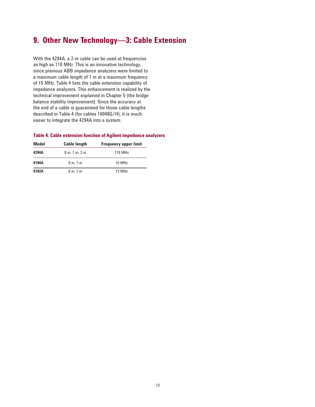## **9. Other New Technology—3: Cable Extension**

With the 4294A, a 2-m cable can be used at frequencies as high as 110 MHz. This is an innovative technology, since previous ABB impedance analyzers were limited to a maximum cable length of 1 m at a maximum frequency of 15 MHz. Table 4 lists the cable extension capability of impedance analyzers. This enhancement is realized by the technical improvement explained in Chapter 5 (the bridge balance stability improvement). Since the accuracy at the end of a cable is guaranteed for those cable lengths described in Table 4 (for cables 16048G/H), it is much easier to integrate the 4294A into a system.

### **Table 4. Cable extension function of Agilent impedance analyzers**

| Model | <b>Cable length</b> | <b>Frequency upper limit</b> |
|-------|---------------------|------------------------------|
| 4294A | $0$ m, $1$ m, $2$ m | 110 MHz                      |
| 4194A | 0 m, 1 m            | 15 MHz                       |
| 4192A | 0 m, 1 m            | 13 MHz                       |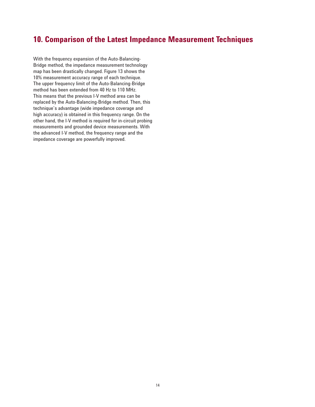### **10. Comparison of the Latest Impedance Measurement Techniques**

With the frequency expansion of the Auto-Balancing-Bridge method, the impedance measurement technology map has been drastically changed. Figure 13 shows the 10% measurement accuracy range of each technique. The upper frequency limit of the Auto-Balancing-Bridge method has been extended from 40 Hz to 110 MHz. This means that the previous I-V method area can be replaced by the Auto-Balancing-Bridge method. Then, this technique's advantage (wide impedance coverage and high accuracy) is obtained in this frequency range. On the other hand, the I-V method is required for in-circuit probing measurements and grounded device measurements. With the advanced I-V method, the frequency range and the impedance coverage are powerfully improved.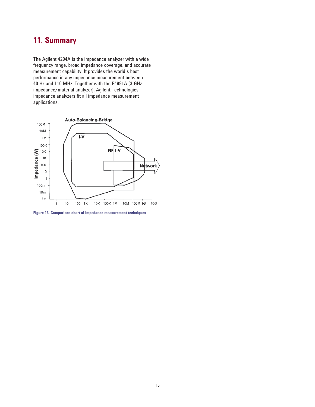# **11. Summary**

The Agilent 4294A is the impedance analyzer with a wide frequency range, broad impedance coverage, and accurate measurement capability. It provides the world's best performance in any impedance measurement between 40 Hz and 110 MHz. Together with the E4991A (3-GHz impedance/material analyzer), Agilent Technologies' impedance analyzers fit all impedance measurement applications.



**Figure 13. Comparison chart of impedance measurement techniques**